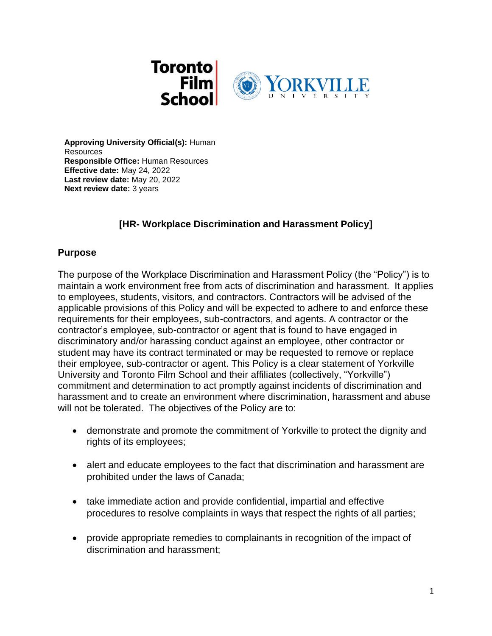

**Approving University Official(s):** Human Resources **Responsible Office:** Human Resources **Effective date:** May 24, 2022 **Last review date:** May 20, 2022 **Next review date:** 3 years

# **[HR- Workplace Discrimination and Harassment Policy]**

### **Purpose**

The purpose of the Workplace Discrimination and Harassment Policy (the "Policy") is to maintain a work environment free from acts of discrimination and harassment. It applies to employees, students, visitors, and contractors. Contractors will be advised of the applicable provisions of this Policy and will be expected to adhere to and enforce these requirements for their employees, sub-contractors, and agents. A contractor or the contractor's employee, sub-contractor or agent that is found to have engaged in discriminatory and/or harassing conduct against an employee, other contractor or student may have its contract terminated or may be requested to remove or replace their employee, sub-contractor or agent. This Policy is a clear statement of Yorkville University and Toronto Film School and their affiliates (collectively, "Yorkville") commitment and determination to act promptly against incidents of discrimination and harassment and to create an environment where discrimination, harassment and abuse will not be tolerated. The objectives of the Policy are to:

- demonstrate and promote the commitment of Yorkville to protect the dignity and rights of its employees;
- alert and educate employees to the fact that discrimination and harassment are prohibited under the laws of Canada;
- take immediate action and provide confidential, impartial and effective procedures to resolve complaints in ways that respect the rights of all parties;
- provide appropriate remedies to complainants in recognition of the impact of discrimination and harassment;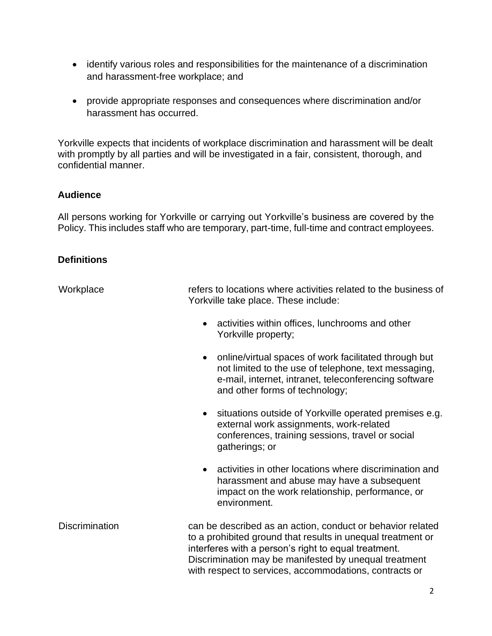- identify various roles and responsibilities for the maintenance of a discrimination and harassment-free workplace; and
- provide appropriate responses and consequences where discrimination and/or harassment has occurred.

Yorkville expects that incidents of workplace discrimination and harassment will be dealt with promptly by all parties and will be investigated in a fair, consistent, thorough, and confidential manner.

# **Audience**

All persons working for Yorkville or carrying out Yorkville's business are covered by the Policy. This includes staff who are temporary, part-time, full-time and contract employees.

### **Definitions**

| Workplace             | refers to locations where activities related to the business of<br>Yorkville take place. These include:                                                                                                                                                                                              |
|-----------------------|------------------------------------------------------------------------------------------------------------------------------------------------------------------------------------------------------------------------------------------------------------------------------------------------------|
|                       | activities within offices, lunchrooms and other<br>$\bullet$<br>Yorkville property;                                                                                                                                                                                                                  |
|                       | online/virtual spaces of work facilitated through but<br>$\bullet$<br>not limited to the use of telephone, text messaging,<br>e-mail, internet, intranet, teleconferencing software<br>and other forms of technology;                                                                                |
|                       | situations outside of Yorkville operated premises e.g.<br>$\bullet$<br>external work assignments, work-related<br>conferences, training sessions, travel or social<br>gatherings; or                                                                                                                 |
|                       | activities in other locations where discrimination and<br>$\bullet$<br>harassment and abuse may have a subsequent<br>impact on the work relationship, performance, or<br>environment.                                                                                                                |
| <b>Discrimination</b> | can be described as an action, conduct or behavior related<br>to a prohibited ground that results in unequal treatment or<br>interferes with a person's right to equal treatment.<br>Discrimination may be manifested by unequal treatment<br>with respect to services, accommodations, contracts or |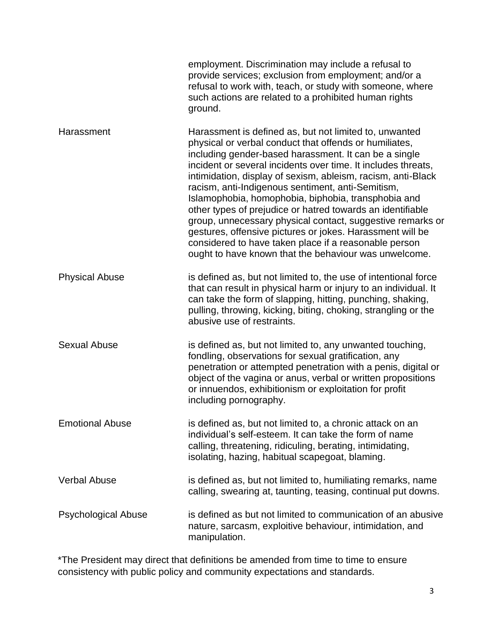|                            | employment. Discrimination may include a refusal to<br>provide services; exclusion from employment; and/or a<br>refusal to work with, teach, or study with someone, where<br>such actions are related to a prohibited human rights<br>ground.                                                                                                                                                                                                                                                                                                                                                                                                                                                                                     |
|----------------------------|-----------------------------------------------------------------------------------------------------------------------------------------------------------------------------------------------------------------------------------------------------------------------------------------------------------------------------------------------------------------------------------------------------------------------------------------------------------------------------------------------------------------------------------------------------------------------------------------------------------------------------------------------------------------------------------------------------------------------------------|
| Harassment                 | Harassment is defined as, but not limited to, unwanted<br>physical or verbal conduct that offends or humiliates,<br>including gender-based harassment. It can be a single<br>incident or several incidents over time. It includes threats,<br>intimidation, display of sexism, ableism, racism, anti-Black<br>racism, anti-Indigenous sentiment, anti-Semitism,<br>Islamophobia, homophobia, biphobia, transphobia and<br>other types of prejudice or hatred towards an identifiable<br>group, unnecessary physical contact, suggestive remarks or<br>gestures, offensive pictures or jokes. Harassment will be<br>considered to have taken place if a reasonable person<br>ought to have known that the behaviour was unwelcome. |
| <b>Physical Abuse</b>      | is defined as, but not limited to, the use of intentional force<br>that can result in physical harm or injury to an individual. It<br>can take the form of slapping, hitting, punching, shaking,<br>pulling, throwing, kicking, biting, choking, strangling or the<br>abusive use of restraints.                                                                                                                                                                                                                                                                                                                                                                                                                                  |
| <b>Sexual Abuse</b>        | is defined as, but not limited to, any unwanted touching,<br>fondling, observations for sexual gratification, any<br>penetration or attempted penetration with a penis, digital or<br>object of the vagina or anus, verbal or written propositions<br>or innuendos, exhibitionism or exploitation for profit<br>including pornography.                                                                                                                                                                                                                                                                                                                                                                                            |
| <b>Emotional Abuse</b>     | is defined as, but not limited to, a chronic attack on an<br>individual's self-esteem. It can take the form of name<br>calling, threatening, ridiculing, berating, intimidating,<br>isolating, hazing, habitual scapegoat, blaming.                                                                                                                                                                                                                                                                                                                                                                                                                                                                                               |
| <b>Verbal Abuse</b>        | is defined as, but not limited to, humiliating remarks, name<br>calling, swearing at, taunting, teasing, continual put downs.                                                                                                                                                                                                                                                                                                                                                                                                                                                                                                                                                                                                     |
| <b>Psychological Abuse</b> | is defined as but not limited to communication of an abusive<br>nature, sarcasm, exploitive behaviour, intimidation, and<br>manipulation.                                                                                                                                                                                                                                                                                                                                                                                                                                                                                                                                                                                         |

\*The President may direct that definitions be amended from time to time to ensure consistency with public policy and community expectations and standards.